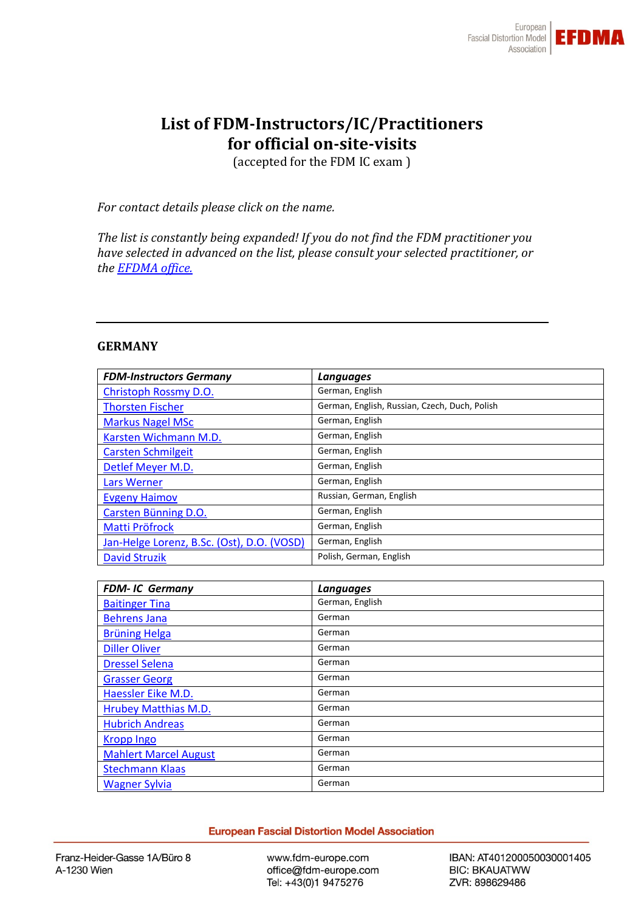

# **List of FDM-Instructors/IC/Practitioners for official on-site-visits**

(accepted for the FDM IC exam )

*For contact details please click on the name.*

*The list is constantly being expanded! If you do not find the FDM practitioner you have selected in advanced on the list, please consult your selected practitioner, or the [EFDMA office.](https://www.fdm-europe.com/office/)*

#### **GERMANY**

| <b>FDM-Instructors Germany</b>             | Languages                                     |
|--------------------------------------------|-----------------------------------------------|
| Christoph Rossmy D.O.                      | German, English                               |
| <b>Thorsten Fischer</b>                    | German, English, Russian, Czech, Duch, Polish |
| <b>Markus Nagel MSc</b>                    | German, English                               |
| Karsten Wichmann M.D.                      | German, English                               |
| <b>Carsten Schmilgeit</b>                  | German, English                               |
| Detlef Meyer M.D.                          | German, English                               |
| Lars Werner                                | German, English                               |
| <b>Evgeny Haimov</b>                       | Russian, German, English                      |
| Carsten Bünning D.O.                       | German, English                               |
| Matti Pröfrock                             | German, English                               |
| Jan-Helge Lorenz, B.Sc. (Ost), D.O. (VOSD) | German, English                               |
| <b>David Struzik</b>                       | Polish, German, English                       |

| <b>FDM-IC Germany</b>        | Languages       |
|------------------------------|-----------------|
| <b>Baitinger Tina</b>        | German, English |
| <b>Behrens Jana</b>          | German          |
| <b>Brüning Helga</b>         | German          |
| <b>Diller Oliver</b>         | German          |
| <b>Dressel Selena</b>        | German          |
| <b>Grasser Georg</b>         | German          |
| Haessler Eike M.D.           | German          |
| <b>Hrubey Matthias M.D.</b>  | German          |
| <b>Hubrich Andreas</b>       | German          |
| <b>Kropp Ingo</b>            | German          |
| <b>Mahlert Marcel August</b> | German          |
| <b>Stechmann Klaas</b>       | German          |
| <b>Wagner Sylvia</b>         | German          |

**European Fascial Distortion Model Association** 

www.fdm-europe.com office@fdm-europe.com Tel: +43(0)1 9475276

IBAN: AT401200050030001405 **BIC: BKAUATWW** ZVR: 898629486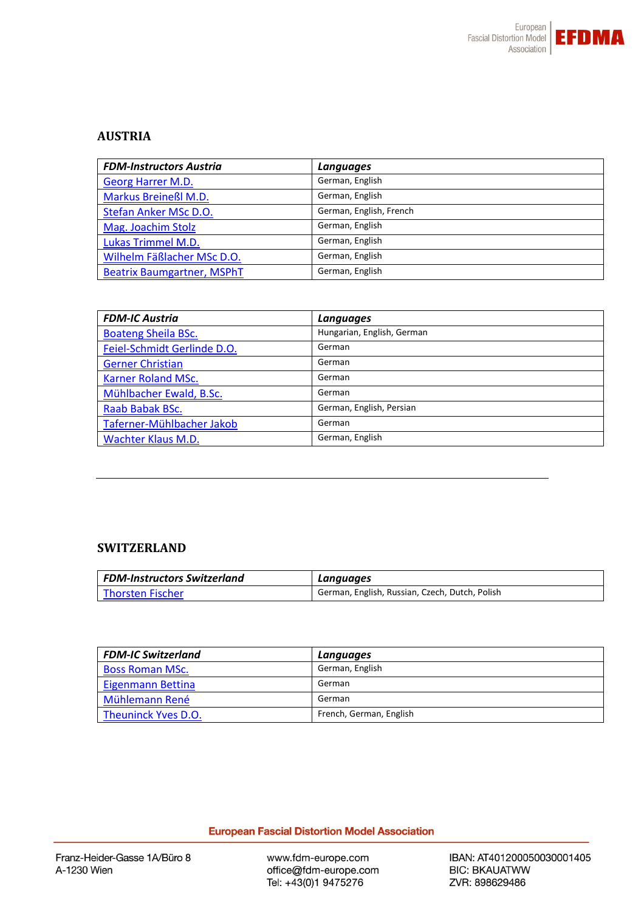

# **AUSTRIA**

| <b>FDM-Instructors Austria</b>    | Languages               |
|-----------------------------------|-------------------------|
| Georg Harrer M.D.                 | German, English         |
| Markus Breineßl M.D.              | German, English         |
| Stefan Anker MSc D.O.             | German, English, French |
| Mag. Joachim Stolz                | German, English         |
| Lukas Trimmel M.D.                | German, English         |
| Wilhelm Fäßlacher MSc D.O.        | German, English         |
| <b>Beatrix Baumgartner, MSPhT</b> | German, English         |

| <b>FDM-IC Austria</b>       | Languages                  |
|-----------------------------|----------------------------|
| <b>Boateng Sheila BSc.</b>  | Hungarian, English, German |
| Feiel-Schmidt Gerlinde D.O. | German                     |
| <b>Gerner Christian</b>     | German                     |
| <b>Karner Roland MSc.</b>   | German                     |
| Mühlbacher Ewald, B.Sc.     | German                     |
| Raab Babak BSc.             | German, English, Persian   |
| Taferner-Mühlbacher Jakob   | German                     |
| <b>Wachter Klaus M.D.</b>   | German, English            |

## **SWITZERLAND**

| FDM-Instructors Switzerland | Languages                                      |
|-----------------------------|------------------------------------------------|
| l Thorsten Fischer          | German, English, Russian, Czech, Dutch, Polish |

| <b>FDM-IC Switzerland</b> | Languages               |
|---------------------------|-------------------------|
| <b>Boss Roman MSc.</b>    | German, English         |
| Eigenmann Bettina         | German                  |
| Mühlemann René            | German                  |
| Theuninck Yves D.O.       | French, German, English |

# **European Fascial Distortion Model Association**

www.fdm-europe.com office@fdm-europe.com Tel: +43(0)1 9475276

IBAN: AT401200050030001405 **BIC: BKAUATWW** ZVR: 898629486